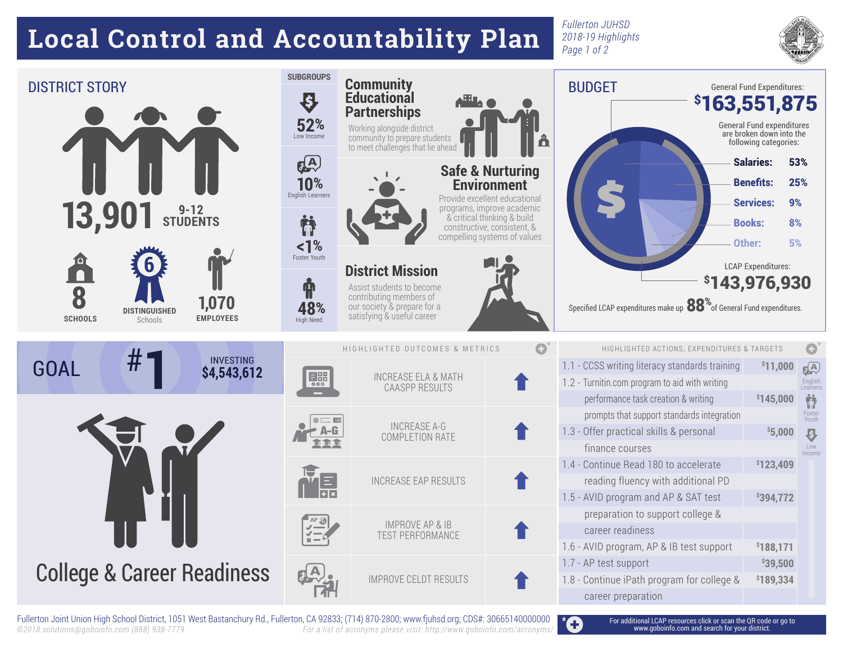## **Local Control and Accountability Plan**

*Fullerton JUHSD 2018-19 Highlights Page 1 of 2*





*©2018 solutions@goboinfo.com (888) 938-7779 For a list of acronyms please visit: http://www.goboinfo.com/acronyms/*  Fullerton Joint Union High School District, 1051 West Bastanchury Rd., Fullerton, CA 92833; (714) 870-2800; www.fjuhsd.org; CDS#: 30665140000000

\*C